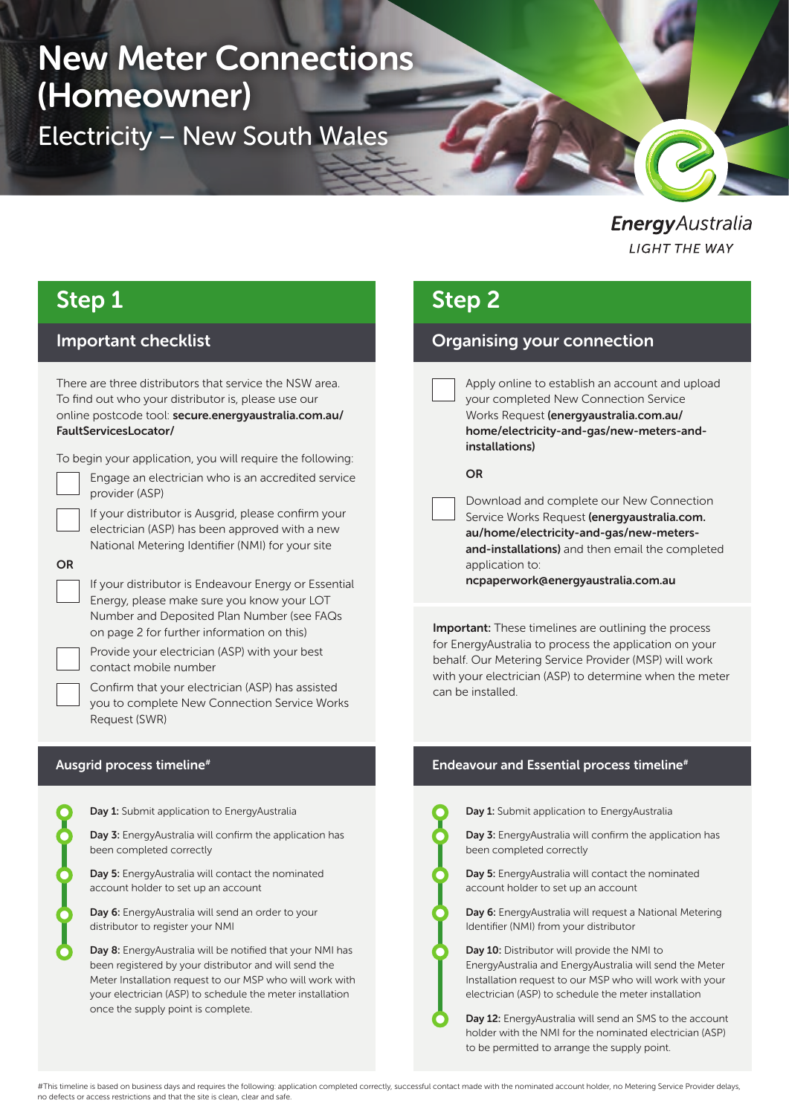# New Meter Connections (Homeowner)

Electricity – New South Wales

EnergyAustralia **LIGHT THE WAY** 

# Step 1

# Important checklist

There are three distributors that service the NSW area. To find out who your distributor is, please use our online postcode tool: secure.energyaustralia.com.au/ FaultServicesLocator/

To begin your application, you will require the following:

OR

provider (ASP) If your distributor is Ausgrid, please confirm your

electrician (ASP) has been approved with a new National Metering Identifier (NMI) for your site

Engage an electrician who is an accredited service

If your distributor is Endeavour Energy or Essential Energy, please make sure you know your LOT Number and Deposited Plan Number (see FAQs on page 2 for further information on this)

Provide your electrician (ASP) with your best contact mobile number

Confirm that your electrician (ASP) has assisted you to complete New Connection Service Works Request (SWR)

# Ausgrid process timeline#



Day 1: Submit application to EnergyAustralia

Day 3: EnergyAustralia will confirm the application has been completed correctly

Day 5: EnergyAustralia will contact the nominated account holder to set up an account

Day 6: EnergyAustralia will send an order to your distributor to register your NMI

Day 8: EnergyAustralia will be notified that your NMI has been registered by your distributor and will send the Meter Installation request to our MSP who will work with your electrician (ASP) to schedule the meter installation once the supply point is complete.

# Step 2

# Organising your connection

Apply online to establish an account and upload your completed New Connection Service Works Request (energyaustralia.com.au/ home/electricity-and-gas/new-meters-andinstallations)

# OR

Download and complete our New Connection Service Works Request (energyaustralia.com. au/home/electricity-and-gas/new-metersand-installations) and then email the completed application to:

ncpaperwork@energyaustralia.com.au

Important: These timelines are outlining the process for EnergyAustralia to process the application on your behalf. Our Metering Service Provider (MSP) will work with your electrician (ASP) to determine when the meter can be installed.

# Endeavour and Essential process timeline<sup>#</sup>



Day 1: Submit application to EnergyAustralia

Day 3: EnergyAustralia will confirm the application has been completed correctly

Day 5: EnergyAustralia will contact the nominated account holder to set up an account

Day 6: EnergyAustralia will request a National Metering Identifier (NMI) from your distributor



Day 10: Distributor will provide the NMI to EnergyAustralia and EnergyAustralia will send the Meter Installation request to our MSP who will work with your electrician (ASP) to schedule the meter installation

Day 12: EnergyAustralia will send an SMS to the account holder with the NMI for the nominated electrician (ASP) to be permitted to arrange the supply point.

#This timeline is based on business days and requires the following: application completed correctly, successful contact made with the nominated account holder, no Metering Service Provider delays, no defects or access restrictions and that the site is clean, clear and safe.